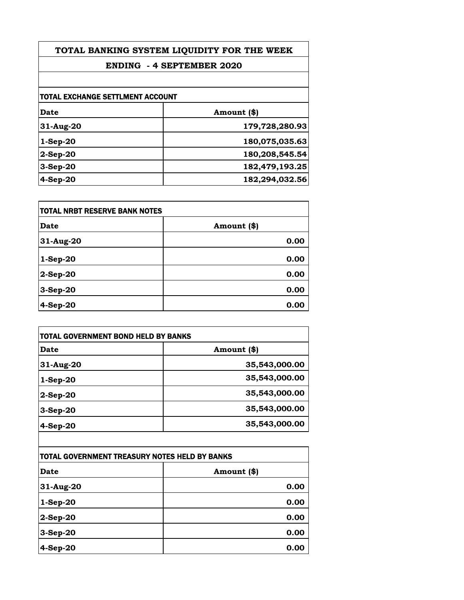| TOTAL BANKING SYSTEM LIQUIDITY FOR THE WEEK<br><b>ENDING - 4 SEPTEMBER 2020</b><br>TOTAL EXCHANGE SETTLMENT ACCOUNT |                |             |                |
|---------------------------------------------------------------------------------------------------------------------|----------------|-------------|----------------|
|                                                                                                                     |                | <b>Date</b> | Amount (\$)    |
|                                                                                                                     |                | 31-Aug-20   | 179,728,280.93 |
|                                                                                                                     |                | $1-Sep-20$  | 180,075,035.63 |
| $2-Sep-20$                                                                                                          | 180,208,545.54 |             |                |
| $3-Sep-20$                                                                                                          | 182,479,193.25 |             |                |
| 4-Sep-20                                                                                                            | 182,294,032.56 |             |                |

| <b>TOTAL NRBT RESERVE BANK NOTES</b> |             |
|--------------------------------------|-------------|
| <b>Date</b>                          | Amount (\$) |
| 31-Aug-20                            | 0.00        |
| $1-Sep-20$                           | 0.00        |
| 2-Sep-20                             | 0.00        |
| 3-Sep-20                             | 0.00        |
| 4-Sep-20                             | 0.00        |

| Date         | Amount (\$)   |
|--------------|---------------|
| 31-Aug-20    | 35,543,000.00 |
| $1-Sep-20$   | 35,543,000.00 |
| $ 2$ -Sep-20 | 35,543,000.00 |
| $3-Sep-20$   | 35,543,000.00 |
| $4-Sep-20$   | 35,543,000.00 |

| TOTAL GOVERNMENT TREASURY NOTES HELD BY BANKS |             |
|-----------------------------------------------|-------------|
| <b>Date</b>                                   | Amount (\$) |
| 31-Aug-20                                     | 0.00        |
| $1-Sep-20$                                    | 0.00        |
| $ 2$ -Sep-20                                  | 0.00        |
| 3-Sep-20                                      | 0.00        |
| 4-Sep-20                                      | 0.00        |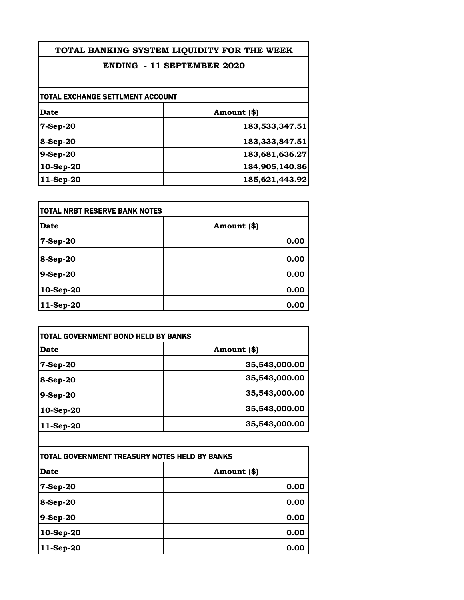| TOTAL BANKING SYSTEM LIQUIDITY FOR THE WEEK |                |
|---------------------------------------------|----------------|
| <b>ENDING - 11 SEPTEMBER 2020</b>           |                |
|                                             |                |
| TOTAL EXCHANGE SETTLMENT ACCOUNT            |                |
| Date                                        | Amount (\$)    |
| $7-Sep-20$                                  | 183,533,347.51 |
| $8-Sep-20$                                  | 183,333,847.51 |
| 9-Sep-20                                    | 183,681,636.27 |
| 10-Sep-20                                   | 184,905,140.86 |
| 11-Sep-20                                   | 185,621,443.92 |

| TOTAL NRBT RESERVE BANK NOTES |             |
|-------------------------------|-------------|
| Date                          | Amount (\$) |
| 7-Sep-20                      | 0.00        |
| $8-Sep-20$                    | 0.00        |
| 9-Sep-20                      | 0.00        |
| 10-Sep-20                     | 0.00        |
| 11-Sep-20                     | 0.00        |

| <b>TOTAL GOVERNMENT BOND HELD BY BANKS</b> |               |
|--------------------------------------------|---------------|
| Date                                       | Amount (\$)   |
| 7-Sep-20                                   | 35,543,000.00 |
| $8-Sep-20$                                 | 35,543,000.00 |
| 9-Sep-20                                   | 35,543,000.00 |
| 10-Sep-20                                  | 35,543,000.00 |
| 11-Sep-20                                  | 35,543,000.00 |
|                                            |               |

| ITOTAL GOVERNMENT TREASURY NOTES HELD BY BANKS |             |
|------------------------------------------------|-------------|
| <b>Date</b>                                    | Amount (\$) |
| 7-Sep-20                                       | 0.00        |
| 8-Sep-20                                       | 0.00        |
| 9-Sep-20                                       | 0.00        |
| 10-Sep-20                                      | 0.00        |
| 11-Sep-20                                      | 0.00        |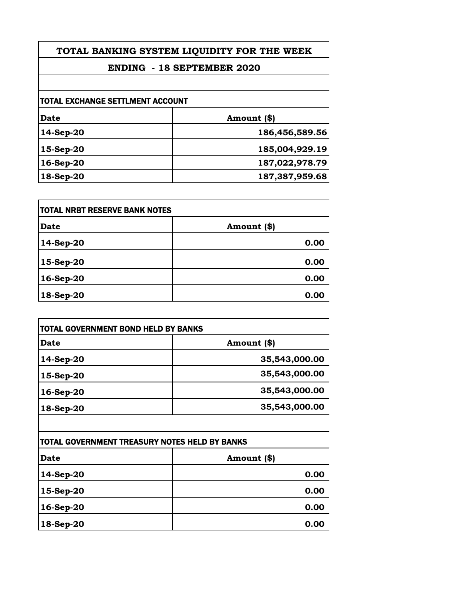## **TOTAL BANKING SYSTEM LIQUIDITY FOR THE WEEK**

## **ENDING - 18 SEPTEMBER 2020**

| TOTAL EXCHANGE SETTLMENT ACCOUNT |                |
|----------------------------------|----------------|
|                                  |                |
| 14-Sep-20                        | 186,456,589.56 |
| 15-Sep-20                        | 185,004,929.19 |
| 16-Sep-20                        | 187,022,978.79 |
| 18-Sep-20                        | 187,387,959.68 |
|                                  |                |

| <b>TOTAL NRBT RESERVE BANK NOTES</b> |             |
|--------------------------------------|-------------|
| <b>Date</b>                          | Amount (\$) |
| 14-Sep-20                            | 0.00        |
| $15-Sep-20$                          | 0.00        |
| 16-Sep-20                            | 0.00        |
| 18-Sep-20                            | 0.00        |

| TOTAL GOVERNMENT BOND HELD BY BANKS |               |
|-------------------------------------|---------------|
| Date                                | Amount (\$)   |
| 14-Sep-20                           | 35,543,000.00 |
| $15-Sep-20$                         | 35,543,000.00 |
| 16-Sep-20                           | 35,543,000.00 |
| 18-Sep-20                           | 35,543,000.00 |

| TOTAL GOVERNMENT TREASURY NOTES HELD BY BANKS |             |
|-----------------------------------------------|-------------|
| <b>Date</b>                                   | Amount (\$) |
| 14-Sep-20                                     | 0.00        |
| 15-Sep-20                                     | 0.00        |
| 16-Sep-20                                     | 0.00        |
| 18-Sep-20                                     | 0.00        |